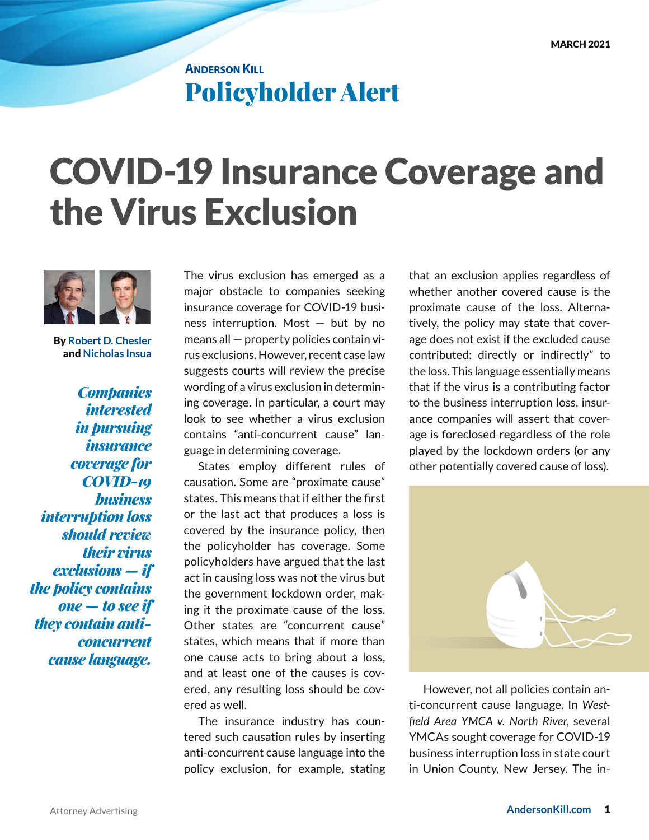## **ANDERSON KILL** Policyholder Alert

## COVID-19 Insurance Coverage and the Virus Exclusion



By **[Robert D. Chesler](https://andersonkill.com/People/Robert-D-Chesler)** and **[Nicholas Insua](https://andersonkill.com/People/Nicholas-M-Insua)**

*Companies interested in pursuing insurance coverage for COVID-19 business interruption loss should review their virus exclusions — if the policy contains one — to see if they contain anticoncurrent cause language.*

The virus exclusion has emerged as a major obstacle to companies seeking insurance coverage for COVID-19 business interruption. Most — but by no means all — property policies contain virus exclusions. However, recent case law suggests courts will review the precise wording of a virus exclusion in determining coverage. In particular, a court may look to see whether a virus exclusion contains "anti-concurrent cause" language in determining coverage.

States employ different rules of causation. Some are "proximate cause" states. This means that if either the first or the last act that produces a loss is covered by the insurance policy, then the policyholder has coverage. Some policyholders have argued that the last act in causing loss was not the virus but the government lockdown order, making it the proximate cause of the loss. Other states are "concurrent cause" states, which means that if more than one cause acts to bring about a loss, and at least one of the causes is covered, any resulting loss should be covered as well.

The insurance industry has countered such causation rules by inserting anti-concurrent cause language into the policy exclusion, for example, stating

that an exclusion applies regardless of whether another covered cause is the proximate cause of the loss. Alternatively, the policy may state that coverage does not exist if the excluded cause contributed: directly or indirectly" to the loss. This language essentially means that if the virus is a contributing factor to the business interruption loss, insurance companies will assert that coverage is foreclosed regardless of the role played by the lockdown orders (or any other potentially covered cause of loss).



However, not all policies contain anti-concurrent cause language. In *Westfield Area YMCA v. North River*, several YMCAs sought coverage for COVID-19 business interruption loss in state court in Union County, New Jersey. The in